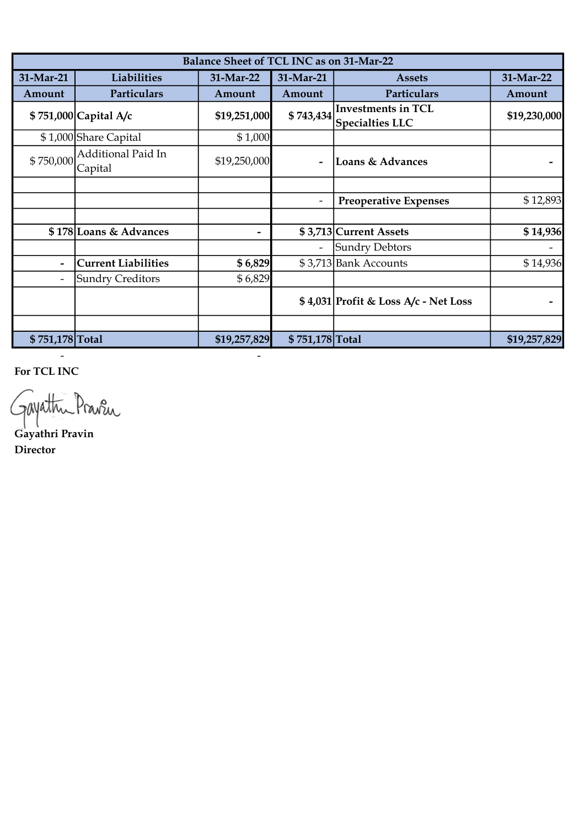| Balance Sheet of TCL INC as on 31-Mar-22 |                               |              |                          |                                                     |              |  |  |
|------------------------------------------|-------------------------------|--------------|--------------------------|-----------------------------------------------------|--------------|--|--|
| 31-Mar-21                                | Liabilities                   | 31-Mar-22    | 31-Mar-21                | <b>Assets</b>                                       | 31-Mar-22    |  |  |
| Amount                                   | Particulars                   | Amount       | Amount                   | Particulars                                         | Amount       |  |  |
|                                          | \$751,000 Capital A/c         | \$19,251,000 | \$743,434                | <b>Investments in TCL</b><br><b>Specialties LLC</b> | \$19,230,000 |  |  |
|                                          | \$1,000 Share Capital         | \$1,000      |                          |                                                     |              |  |  |
| \$750,000                                | Additional Paid In<br>Capital | \$19,250,000 | $\overline{\phantom{0}}$ | Loans & Advances                                    |              |  |  |
|                                          |                               |              |                          |                                                     |              |  |  |
|                                          |                               |              |                          | <b>Preoperative Expenses</b>                        | \$12,893     |  |  |
|                                          |                               |              |                          |                                                     |              |  |  |
|                                          | \$178 Loans & Advances        | -            |                          | \$3,713 Current Assets                              | \$14,936     |  |  |
|                                          |                               |              |                          | Sundry Debtors                                      |              |  |  |
|                                          | <b>Current Liabilities</b>    | \$6,829      |                          | \$3,713 Bank Accounts                               | \$14,936     |  |  |
|                                          | <b>Sundry Creditors</b>       | \$6,829      |                          |                                                     |              |  |  |
|                                          |                               |              |                          | \$4,031 Profit & Loss A/c - Net Loss                |              |  |  |
|                                          |                               |              |                          |                                                     |              |  |  |
| \$751,178 Total                          |                               | \$19,257,829 | \$751,178 Total          |                                                     | \$19,257,829 |  |  |

For TCL INC

Gayathri Pravin

- -

Director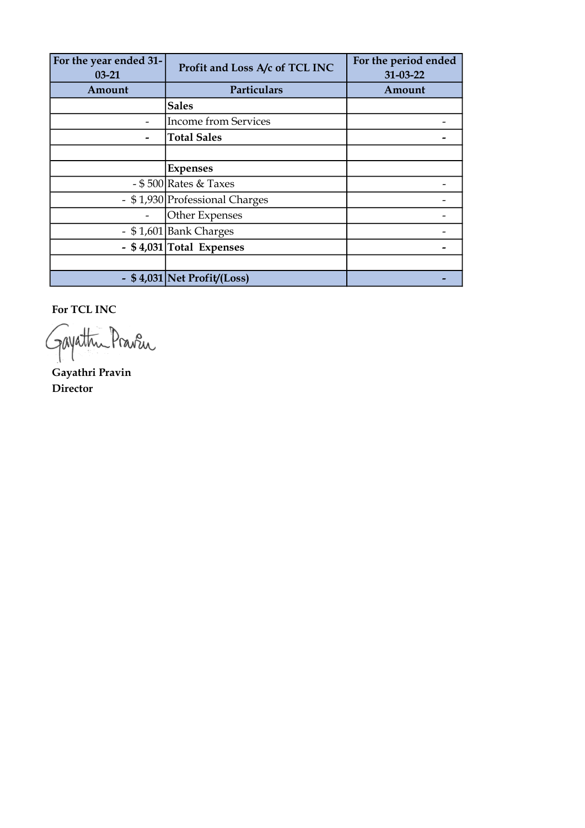| For the year ended 31-<br>$03 - 21$ | Profit and Loss A/c of TCL INC | For the period ended<br>$31 - 03 - 22$ |  |
|-------------------------------------|--------------------------------|----------------------------------------|--|
| Amount                              | Particulars                    | Amount                                 |  |
|                                     | <b>Sales</b>                   |                                        |  |
|                                     | <b>Income from Services</b>    |                                        |  |
|                                     | <b>Total Sales</b>             |                                        |  |
|                                     |                                |                                        |  |
|                                     | <b>Expenses</b>                |                                        |  |
|                                     | - \$500 Rates & Taxes          |                                        |  |
|                                     | - \$1,930 Professional Charges |                                        |  |
|                                     | Other Expenses                 |                                        |  |
|                                     | - \$1,601 Bank Charges         |                                        |  |
|                                     | - \$4,031 Total Expenses       |                                        |  |
|                                     |                                |                                        |  |
|                                     | - \$4,031 Net Profit/(Loss)    |                                        |  |

For TCL INC

Gayathu Praven

Gayathri Pravin Director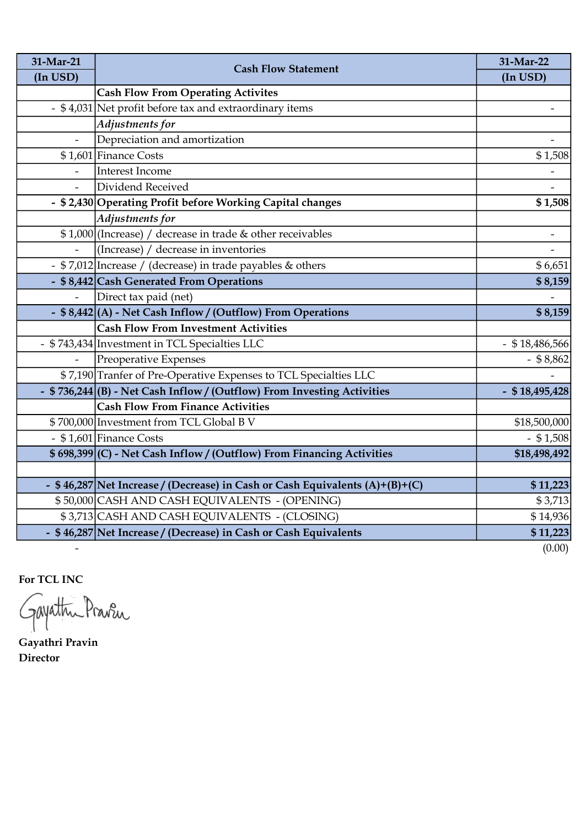| 31-Mar-21                | <b>Cash Flow Statement</b>                                                   | 31-Mar-22                |
|--------------------------|------------------------------------------------------------------------------|--------------------------|
| (In USD)                 |                                                                              | (In USD)                 |
|                          | <b>Cash Flow From Operating Activites</b>                                    |                          |
|                          | - \$4,031 Net profit before tax and extraordinary items                      | $\overline{\phantom{a}}$ |
|                          | Adjustments for                                                              |                          |
| $\overline{\phantom{0}}$ | Depreciation and amortization                                                |                          |
|                          | $$1,601$ Finance Costs                                                       | \$1,508                  |
|                          | Interest Income                                                              |                          |
|                          | Dividend Received                                                            |                          |
|                          | - \$2,430 Operating Profit before Working Capital changes                    | \$1,508                  |
|                          | Adjustments for                                                              |                          |
|                          | \$1,000 (Increase) / decrease in trade & other receivables                   | $\overline{\phantom{a}}$ |
|                          | (Increase) / decrease in inventories                                         |                          |
|                          | - \$7,012 Increase / (decrease) in trade payables & others                   | \$6,651                  |
|                          | - \$8,442 Cash Generated From Operations                                     | \$8,159                  |
| ÷,                       | Direct tax paid (net)                                                        |                          |
|                          | - \$8,442 (A) - Net Cash Inflow / (Outflow) From Operations                  | \$8,159                  |
|                          | <b>Cash Flow From Investment Activities</b>                                  |                          |
|                          | - \$743,434 Investment in TCL Specialties LLC                                | $-$ \$18,486,566         |
| $\overline{a}$           | Preoperative Expenses                                                        | $-$ \$ 8,862             |
|                          | \$7,190 Tranfer of Pre-Operative Expenses to TCL Specialties LLC             |                          |
|                          | - \$736,244 (B) - Net Cash Inflow / (Outflow) From Investing Activities      | $-$ \$18,495,428         |
|                          | <b>Cash Flow From Finance Activities</b>                                     |                          |
|                          | \$700,000 Investment from TCL Global B V                                     | \$18,500,000             |
|                          | - \$1,601 Finance Costs                                                      | $-$ \$1,508              |
|                          | \$698,399 (C) - Net Cash Inflow / (Outflow) From Financing Activities        | \$18,498,492             |
|                          |                                                                              |                          |
|                          | - \$46,287 Net Increase / (Decrease) in Cash or Cash Equivalents (A)+(B)+(C) | \$11,223                 |
|                          | \$50,000 CASH AND CASH EQUIVALENTS - (OPENING)                               | \$3,713                  |
|                          | \$3,713 CASH AND CASH EQUIVALENTS - (CLOSING)                                | \$14,936                 |
|                          | - \$46,287 Net Increase / (Decrease) in Cash or Cash Equivalents             | \$11,223                 |
| $\overline{\phantom{a}}$ |                                                                              | (0.00)                   |

For TCL INC

Gayathu Praven

Gayathri Pravin Director